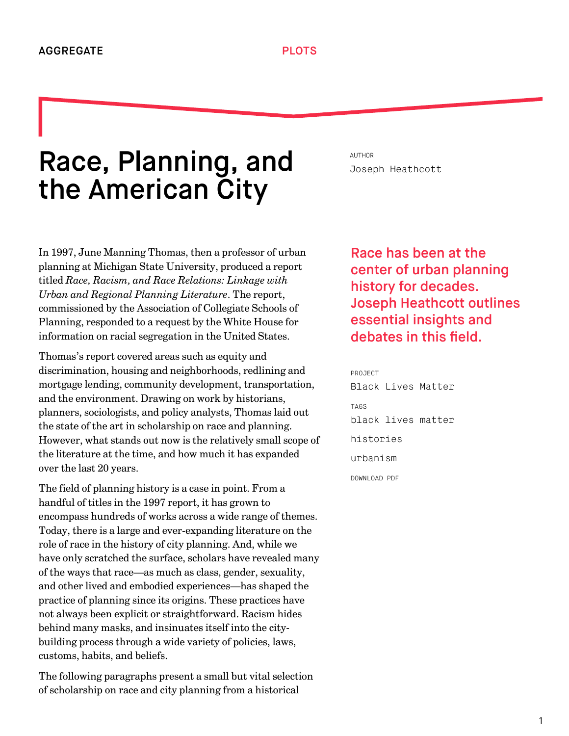## Race, Planning, and the American City

In 1997, June Manning Thomas, then a professor of urban planning at Michigan State University, produced a report titled *Race, Racism, and Race Relations: Linkage with Urban and Regional Planning Literature*. The report, commissioned by the Association of Collegiate Schools of Planning, responded to a request by the White House for information on racial segregation in the United States.

Thomas's report covered areas such as equity and discrimination, housing and neighborhoods, redlining and mortgage lending, community development, transportation, and the environment. Drawing on work by historians, planners, sociologists, and policy analysts, Thomas laid out the state of the art in scholarship on race and planning. However, what stands out now is the relatively small scope of the literature at the time, and how much it has expanded over the last 20 years.

The field of planning history is a case in point. From a handful of titles in the 1997 report, it has grown to encompass hundreds of works across a wide range of themes. Today, there is a large and ever-expanding literature on the role of race in the history of city planning. And, while we have only scratched the surface, scholars have revealed many of the ways that race—as much as class, gender, sexuality, and other lived and embodied experiences—has shaped the practice of planning since its origins. These practices have not always been explicit or straightforward. Racism hides behind many masks, and insinuates itself into the citybuilding process through a wide variety of policies, laws, customs, habits, and beliefs.

The following paragraphs present a small but vital selection of scholarship on race and city planning from a historical

AUTHOR [Joseph Heathcott](http://we-aggregate.org/people/joseph-heathcott)

## Race has been at the center of urban planning history for decades. Joseph Heathcott outlines essential insights and debates in this field.

PROJECT [Black Lives Matter](http://we-aggregate.org/project/black-lives-matter) TAGS [black lives matter](http://we-aggregate.org/tag/black-lives-matter) [histories](http://we-aggregate.org/tag/histories) [urbanism](http://we-aggregate.org/tag/urbanism) DOWNLOAD PDF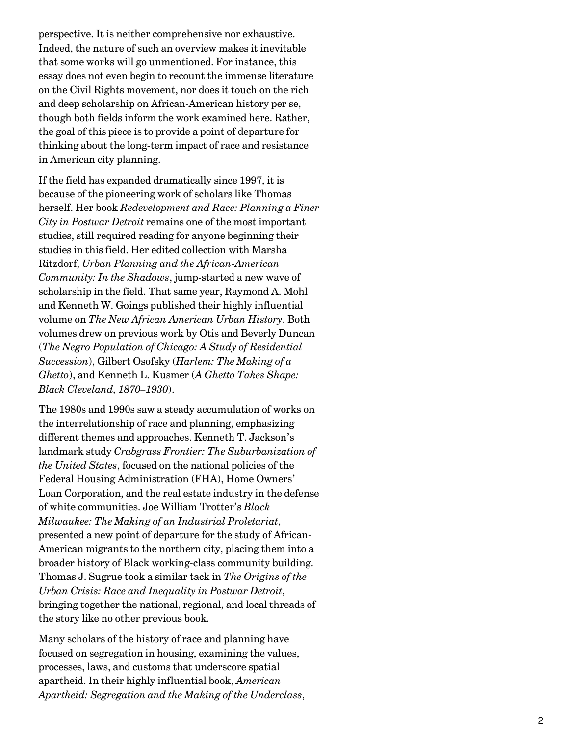perspective. It is neither comprehensive nor exhaustive. Indeed, the nature of such an overview makes it inevitable that some works will go unmentioned. For instance, this essay does not even begin to recount the immense literature on the Civil Rights movement, nor does it touch on the rich and deep scholarship on African-American history per se, though both fields inform the work examined here. Rather, the goal of this piece is to provide a point of departure for thinking about the long-term impact of race and resistance in American city planning.

If the field has expanded dramatically since 1997, it is because of the pioneering work of scholars like Thomas herself. Her book *Redevelopment and Race: Planning a Finer City in Postwar Detroit* remains one of the most important studies, still required reading for anyone beginning their studies in this field. Her edited collection with Marsha Ritzdorf, *Urban Planning and the African-American Community: In the Shadows*, jump-started a new wave of scholarship in the field. That same year, Raymond A. Mohl and Kenneth W. Goings published their highly influential volume on *The New African American Urban History*. Both volumes drew on previous work by Otis and Beverly Duncan (*The Negro Population of Chicago: A Study of Residential Succession*), Gilbert Osofsky (*Harlem: The Making of a Ghetto*), and Kenneth L. Kusmer (*A Ghetto Takes Shape: Black Cleveland, 1870–1930*).

The 1980s and 1990s saw a steady accumulation of works on the interrelationship of race and planning, emphasizing different themes and approaches. Kenneth T. Jackson's landmark study *Crabgrass Frontier: The Suburbanization of the United States*, focused on the national policies of the Federal Housing Administration (FHA), Home Owners' Loan Corporation, and the real estate industry in the defense of white communities. Joe William Trotter's *Black Milwaukee: The Making of an Industrial Proletariat*, presented a new point of departure for the study of African-American migrants to the northern city, placing them into a broader history of Black working-class community building. Thomas J. Sugrue took a similar tack in *The Origins of the Urban Crisis: Race and Inequality in Postwar Detroit*, bringing together the national, regional, and local threads of the story like no other previous book.

Many scholars of the history of race and planning have focused on segregation in housing, examining the values, processes, laws, and customs that underscore spatial apartheid. In their highly influential book, *American Apartheid: Segregation and the Making of the Underclass*,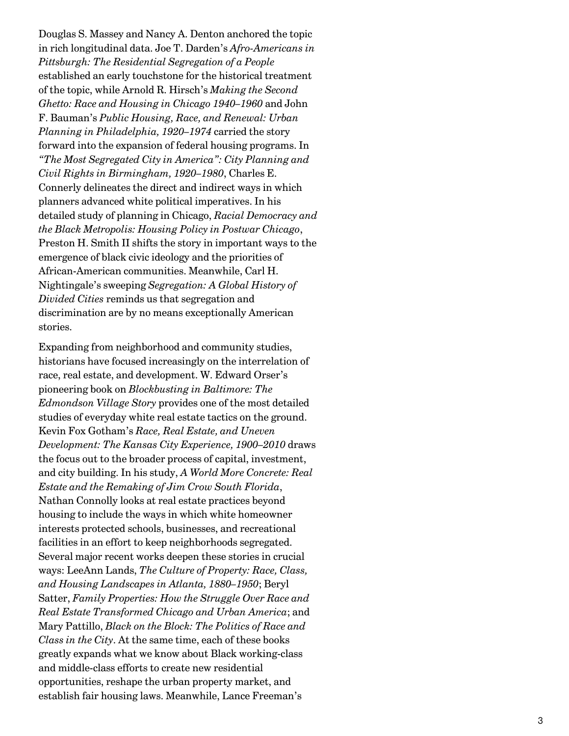Douglas S. Massey and Nancy A. Denton anchored the topic in rich longitudinal data. Joe T. Darden's *Afro-Americans in Pittsburgh: The Residential Segregation of a People* established an early touchstone for the historical treatment of the topic, while Arnold R. Hirsch's *Making the Second Ghetto: Race and Housing in Chicago 1940–1960* and John F. Bauman's *Public Housing, Race, and Renewal: Urban Planning in Philadelphia, 1920–1974* carried the story forward into the expansion of federal housing programs. In *"The Most Segregated City in America": City Planning and Civil Rights in Birmingham, 1920–1980*, Charles E. Connerly delineates the direct and indirect ways in which planners advanced white political imperatives. In his detailed study of planning in Chicago, *Racial Democracy and the Black Metropolis: Housing Policy in Postwar Chicago*, Preston H. Smith II shifts the story in important ways to the emergence of black civic ideology and the priorities of African-American communities. Meanwhile, Carl H. Nightingale's sweeping *Segregation: A Global History of Divided Cities* reminds us that segregation and discrimination are by no means exceptionally American stories.

Expanding from neighborhood and community studies, historians have focused increasingly on the interrelation of race, real estate, and development. W. Edward Orser's pioneering book on *Blockbusting in Baltimore: The Edmondson Village Story* provides one of the most detailed studies of everyday white real estate tactics on the ground. Kevin Fox Gotham's *Race, Real Estate, and Uneven Development: The Kansas City Experience, 1900–2010* draws the focus out to the broader process of capital, investment, and city building. In his study, *A World More Concrete: Real Estate and the Remaking of Jim Crow South Florida*, Nathan Connolly looks at real estate practices beyond housing to include the ways in which white homeowner interests protected schools, businesses, and recreational facilities in an effort to keep neighborhoods segregated. Several major recent works deepen these stories in crucial ways: LeeAnn Lands, *The Culture of Property: Race, Class, and Housing Landscapes in Atlanta, 1880–1950*; Beryl Satter, *Family Properties: How the Struggle Over Race and Real Estate Transformed Chicago and Urban America*; and Mary Pattillo, *Black on the Block: The Politics of Race and Class in the City*. At the same time, each of these books greatly expands what we know about Black working-class and middle-class efforts to create new residential opportunities, reshape the urban property market, and establish fair housing laws. Meanwhile, Lance Freeman's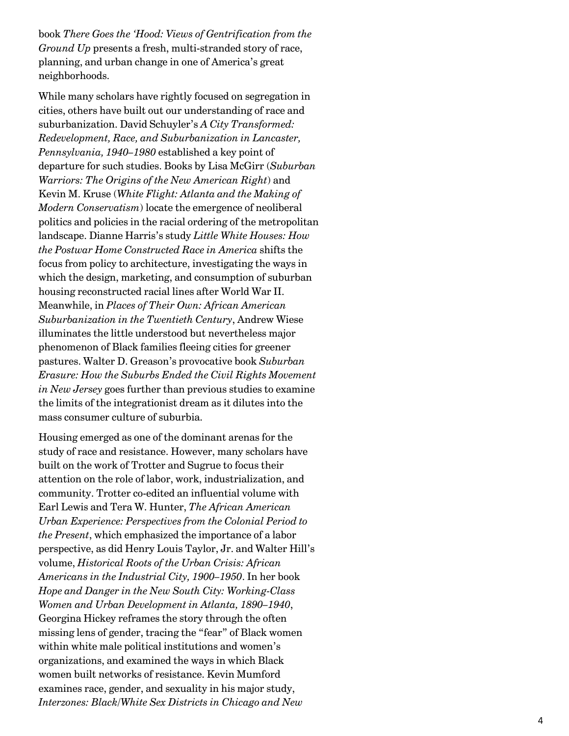book *There Goes the 'Hood: Views of Gentrification from the Ground Up* presents a fresh, multi-stranded story of race, planning, and urban change in one of America's great neighborhoods.

While many scholars have rightly focused on segregation in cities, others have built out our understanding of race and suburbanization. David Schuyler's *A City Transformed: Redevelopment, Race, and Suburbanization in Lancaster, Pennsylvania, 1940–1980* established a key point of departure for such studies. Books by Lisa McGirr (*Suburban Warriors: The Origins of the New American Right*) and Kevin M. Kruse (*White Flight: Atlanta and the Making of Modern Conservatism*) locate the emergence of neoliberal politics and policies in the racial ordering of the metropolitan landscape. Dianne Harris's study *Little White Houses: How the Postwar Home Constructed Race in America* shifts the focus from policy to architecture, investigating the ways in which the design, marketing, and consumption of suburban housing reconstructed racial lines after World War II. Meanwhile, in *Places of Their Own: African American Suburbanization in the Twentieth Century*, Andrew Wiese illuminates the little understood but nevertheless major phenomenon of Black families fleeing cities for greener pastures. Walter D. Greason's provocative book *Suburban Erasure: How the Suburbs Ended the Civil Rights Movement in New Jersey* goes further than previous studies to examine the limits of the integrationist dream as it dilutes into the mass consumer culture of suburbia.

Housing emerged as one of the dominant arenas for the study of race and resistance. However, many scholars have built on the work of Trotter and Sugrue to focus their attention on the role of labor, work, industrialization, and community. Trotter co-edited an influential volume with Earl Lewis and Tera W. Hunter, *The African American Urban Experience: Perspectives from the Colonial Period to the Present*, which emphasized the importance of a labor perspective, as did Henry Louis Taylor, Jr. and Walter Hill's volume, *Historical Roots of the Urban Crisis: African Americans in the Industrial City, 1900–1950*. In her book *Hope and Danger in the New South City: Working-Class Women and Urban Development in Atlanta, 1890–1940*, Georgina Hickey reframes the story through the often missing lens of gender, tracing the "fear" of Black women within white male political institutions and women's organizations, and examined the ways in which Black women built networks of resistance. Kevin Mumford examines race, gender, and sexuality in his major study, *Interzones: Black/White Sex Districts in Chicago and New*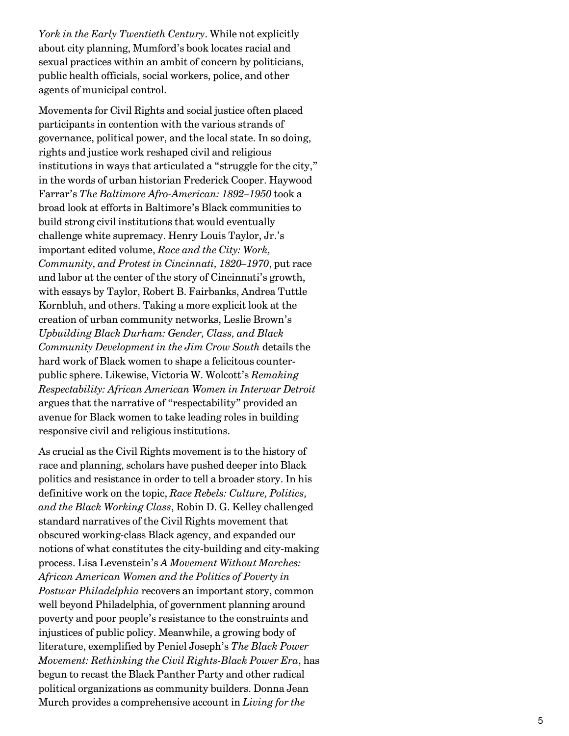*York in the Early Twentieth Century*. While not explicitly about city planning, Mumford's book locates racial and sexual practices within an ambit of concern by politicians, public health officials, social workers, police, and other agents of municipal control.

Movements for Civil Rights and social justice often placed participants in contention with the various strands of governance, political power, and the local state. In so doing, rights and justice work reshaped civil and religious institutions in ways that articulated a "struggle for the city," in the words of urban historian Frederick Cooper. Haywood Farrar's *The Baltimore Afro-American: 1892–1950* took a broad look at efforts in Baltimore's Black communities to build strong civil institutions that would eventually challenge white supremacy. Henry Louis Taylor, Jr.'s important edited volume, *Race and the City: Work, Community, and Protest in Cincinnati, 1820–1970*, put race and labor at the center of the story of Cincinnati's growth, with essays by Taylor, Robert B. Fairbanks, Andrea Tuttle Kornbluh, and others. Taking a more explicit look at the creation of urban community networks, Leslie Brown's *Upbuilding Black Durham: Gender, Class, and Black Community Development in the Jim Crow South* details the hard work of Black women to shape a felicitous counterpublic sphere. Likewise, Victoria W. Wolcott's *Remaking Respectability: African American Women in Interwar Detroit* argues that the narrative of "respectability" provided an avenue for Black women to take leading roles in building responsive civil and religious institutions.

As crucial as the Civil Rights movement is to the history of race and planning, scholars have pushed deeper into Black politics and resistance in order to tell a broader story. In his definitive work on the topic, *Race Rebels: Culture, Politics, and the Black Working Class*, Robin D. G. Kelley challenged standard narratives of the Civil Rights movement that obscured working-class Black agency, and expanded our notions of what constitutes the city-building and city-making process. Lisa Levenstein's *A Movement Without Marches: African American Women and the Politics of Poverty in Postwar Philadelphia* recovers an important story, common well beyond Philadelphia, of government planning around poverty and poor people's resistance to the constraints and injustices of public policy. Meanwhile, a growing body of literature, exemplified by Peniel Joseph's *The Black Power Movement: Rethinking the Civil Rights-Black Power Era*, has begun to recast the Black Panther Party and other radical political organizations as community builders. Donna Jean Murch provides a comprehensive account in *Living for the*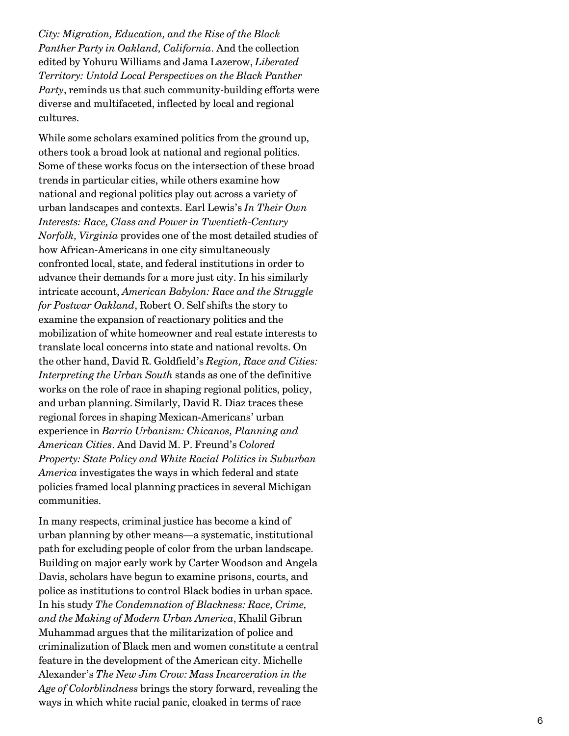*City: Migration, Education, and the Rise of the Black Panther Party in Oakland, California*. And the collection edited by Yohuru Williams and Jama Lazerow, *Liberated Territory: Untold Local Perspectives on the Black Panther Party*, reminds us that such community-building efforts were diverse and multifaceted, inflected by local and regional cultures.

While some scholars examined politics from the ground up, others took a broad look at national and regional politics. Some of these works focus on the intersection of these broad trends in particular cities, while others examine how national and regional politics play out across a variety of urban landscapes and contexts. Earl Lewis's *In Their Own Interests: Race, Class and Power in Twentieth-Century Norfolk, Virginia* provides one of the most detailed studies of how African-Americans in one city simultaneously confronted local, state, and federal institutions in order to advance their demands for a more just city. In his similarly intricate account, *American Babylon: Race and the Struggle for Postwar Oakland*, Robert O. Self shifts the story to examine the expansion of reactionary politics and the mobilization of white homeowner and real estate interests to translate local concerns into state and national revolts. On the other hand, David R. Goldfield's *Region, Race and Cities: Interpreting the Urban South* stands as one of the definitive works on the role of race in shaping regional politics, policy, and urban planning. Similarly, David R. Diaz traces these regional forces in shaping Mexican-Americans' urban experience in *Barrio Urbanism: Chicanos, Planning and American Cities*. And David M. P. Freund's *Colored Property: State Policy and White Racial Politics in Suburban America* investigates the ways in which federal and state policies framed local planning practices in several Michigan communities.

In many respects, criminal justice has become a kind of urban planning by other means—a systematic, institutional path for excluding people of color from the urban landscape. Building on major early work by Carter Woodson and Angela Davis, scholars have begun to examine prisons, courts, and police as institutions to control Black bodies in urban space. In his study *The Condemnation of Blackness: Race, Crime, and the Making of Modern Urban America*, Khalil Gibran Muhammad argues that the militarization of police and criminalization of Black men and women constitute a central feature in the development of the American city. Michelle Alexander's *The New Jim Crow: Mass Incarceration in the Age of Colorblindness* brings the story forward, revealing the ways in which white racial panic, cloaked in terms of race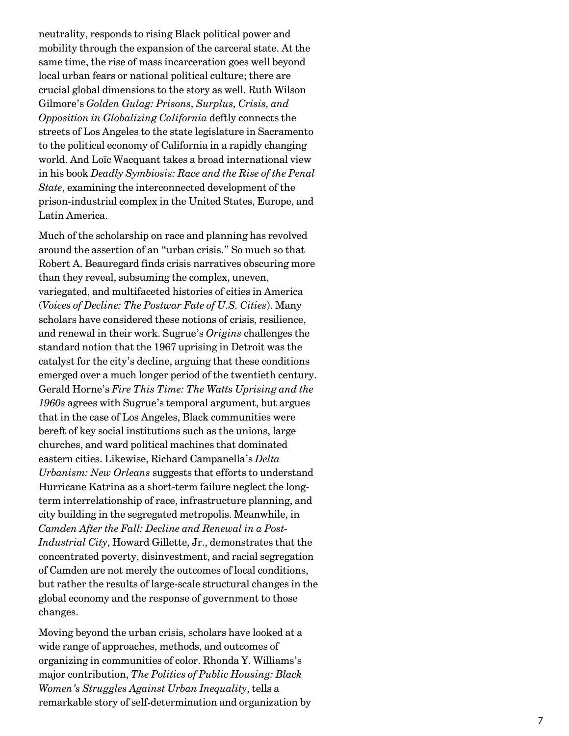neutrality, responds to rising Black political power and mobility through the expansion of the carceral state. At the same time, the rise of mass incarceration goes well beyond local urban fears or national political culture; there are crucial global dimensions to the story as well. Ruth Wilson Gilmore's *Golden Gulag: Prisons, Surplus, Crisis, and Opposition in Globalizing California* deftly connects the streets of Los Angeles to the state legislature in Sacramento to the political economy of California in a rapidly changing world. And Loïc Wacquant takes a broad international view in his book *Deadly Symbiosis: Race and the Rise of the Penal State*, examining the interconnected development of the prison-industrial complex in the United States, Europe, and Latin America.

Much of the scholarship on race and planning has revolved around the assertion of an "urban crisis." So much so that Robert A. Beauregard finds crisis narratives obscuring more than they reveal, subsuming the complex, uneven, variegated, and multifaceted histories of cities in America (*Voices of Decline: The Postwar Fate of U.S. Cities*). Many scholars have considered these notions of crisis, resilience, and renewal in their work. Sugrue's *Origins* challenges the standard notion that the 1967 uprising in Detroit was the catalyst for the city's decline, arguing that these conditions emerged over a much longer period of the twentieth century. Gerald Horne's *Fire This Time: The Watts Uprising and the 1960s* agrees with Sugrue's temporal argument, but argues that in the case of Los Angeles, Black communities were bereft of key social institutions such as the unions, large churches, and ward political machines that dominated eastern cities. Likewise, Richard Campanella's *Delta Urbanism: New Orleans* suggests that efforts to understand Hurricane Katrina as a short-term failure neglect the longterm interrelationship of race, infrastructure planning, and city building in the segregated metropolis. Meanwhile, in *Camden After the Fall: Decline and Renewal in a Post-Industrial City*, Howard Gillette, Jr., demonstrates that the concentrated poverty, disinvestment, and racial segregation of Camden are not merely the outcomes of local conditions, but rather the results of large-scale structural changes in the global economy and the response of government to those changes.

Moving beyond the urban crisis, scholars have looked at a wide range of approaches, methods, and outcomes of organizing in communities of color. Rhonda Y. Williams's major contribution, *The Politics of Public Housing: Black Women's Struggles Against Urban Inequality*, tells a remarkable story of self-determination and organization by